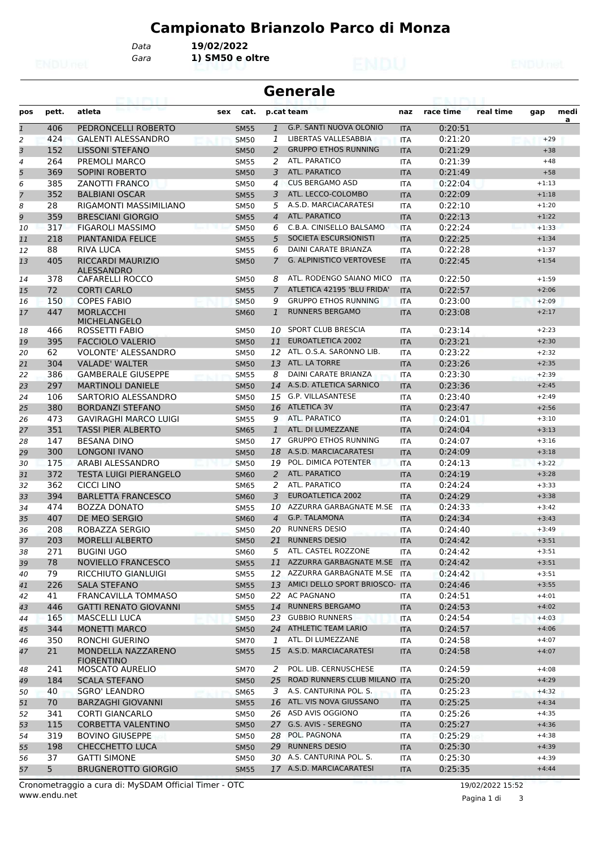# **Campionato Brianzolo Parco di Monza**

*Gara* **1) SM50 e oltre** *Data* **19/02/2022**

|                | <b>Generale</b> |                                         |             |                |                                   |                          |           |           |         |           |  |  |  |
|----------------|-----------------|-----------------------------------------|-------------|----------------|-----------------------------------|--------------------------|-----------|-----------|---------|-----------|--|--|--|
| pos            | pett.           | atleta                                  | cat.<br>sex |                | p.cat team                        | naz                      | race time | real time | gap     | medi<br>a |  |  |  |
| $\overline{1}$ | 406             | PEDRONCELLI ROBERTO                     | <b>SM55</b> | $\mathbf{1}$   | G.P. SANTI NUOVA OLONIO           | <b>ITA</b>               | 0:20:51   |           |         |           |  |  |  |
| 2              | 424             | <b>GALENTI ALESSANDRO</b>               | <b>SM50</b> | 1              | LIBERTAS VALLESABBIA              | <b>ITA</b>               | 0:21:20   |           | $+29$   |           |  |  |  |
| 3              | 152             | <b>LISSONI STEFANO</b>                  | <b>SM50</b> | 2              | <b>GRUPPO ETHOS RUNNING</b>       | <b>ITA</b>               | 0:21:29   |           | $+38$   |           |  |  |  |
| 4              | 264             | PREMOLI MARCO                           | <b>SM55</b> | 2              | ATL. PARATICO                     | <b>ITA</b>               | 0:21:39   |           | $+48$   |           |  |  |  |
| 5              | 369             | <b>SOPINI ROBERTO</b>                   | <b>SM50</b> | 3              | <b>ATL. PARATICO</b>              | <b>ITA</b>               | 0:21:49   |           | $+58$   |           |  |  |  |
| 6              | 385             | <b>ZANOTTI FRANCO</b>                   | <b>SM50</b> | 4              | <b>CUS BERGAMO ASD</b>            | ITA                      | 0:22:04   |           | $+1:13$ |           |  |  |  |
| $\overline{7}$ | 352             | <b>BALBIANI OSCAR</b>                   | <b>SM55</b> | 3              | ATL. LECCO-COLOMBO                | <b>ITA</b>               | 0:22:09   |           | $+1:18$ |           |  |  |  |
| 8              | 28              | RIGAMONTI MASSIMILIANO                  | <b>SM50</b> | 5              | A.S.D. MARCIACARATESI             | <b>ITA</b>               | 0:22:10   |           | $+1:20$ |           |  |  |  |
| 9              | 359             | <b>BRESCIANI GIORGIO</b>                | <b>SM55</b> | $\overline{4}$ | <b>ATL. PARATICO</b>              | <b>ITA</b>               | 0:22:13   |           | $+1:22$ |           |  |  |  |
| 10             | 317             | <b>FIGAROLI MASSIMO</b>                 | <b>SM50</b> | 6              | C.B.A. CINISELLO BALSAMO          | <b>ITA</b>               | 0:22:24   |           | $+1:33$ |           |  |  |  |
| 11             | 218             | <b>PIANTANIDA FELICE</b>                | <b>SM55</b> | 5              | SOCIETA ESCURSIONISTI             | <b>ITA</b>               | 0:22:25   |           | $+1:34$ |           |  |  |  |
| 12             | 88              | RIVA LUCA                               | <b>SM55</b> | 6              | DAINI CARATE BRIANZA              | ITA                      | 0:22:28   |           | $+1:37$ |           |  |  |  |
| 13             | 405             | <b>RICCARDI MAURIZIO</b>                | <b>SM50</b> | 7              | <b>G. ALPINISTICO VERTOVESE</b>   | <b>ITA</b>               | 0:22:45   |           | $+1:54$ |           |  |  |  |
|                |                 | <b>ALESSANDRO</b>                       |             |                |                                   |                          |           |           |         |           |  |  |  |
| 14             | 378             | CAFARELLI ROCCO                         | <b>SM50</b> | 8              | ATL. RODENGO SAIANO MICO          | <b>ITA</b>               | 0:22:50   |           | $+1:59$ |           |  |  |  |
| 15             | 72              | <b>CORTI CARLO</b>                      | <b>SM55</b> | 7              | ATLETICA 42195 'BLU FRIDA'        | <b>ITA</b>               | 0:22:57   |           | $+2:06$ |           |  |  |  |
| 16             | 150             | <b>COPES FABIO</b>                      | <b>SM50</b> | 9              | <b>GRUPPO ETHOS RUNNING</b>       | <b>ITA</b>               | 0:23:00   |           | $+2:09$ |           |  |  |  |
| 17             | 447             | <b>MORLACCHI</b><br><b>MICHELANGELO</b> | <b>SM60</b> | $\mathbf{1}$   | <b>RUNNERS BERGAMO</b>            | <b>ITA</b>               | 0:23:08   |           | $+2:17$ |           |  |  |  |
| 18             | 466             | ROSSETTI FABIO                          | <b>SM50</b> | 10             | <b>SPORT CLUB BRESCIA</b>         | <b>ITA</b>               | 0:23:14   |           | $+2:23$ |           |  |  |  |
| 19             | 395             | <b>FACCIOLO VALERIO</b>                 | <b>SM50</b> | 11             | EUROATLETICA 2002                 | <b>ITA</b>               | 0:23:21   |           | $+2:30$ |           |  |  |  |
| 20             | 62              | <b>VOLONTE' ALESSANDRO</b>              | <b>SM50</b> | 12             | ATL. O.S.A. SARONNO LIB.          | <b>ITA</b>               | 0:23:22   |           | $+2:32$ |           |  |  |  |
| 21             | 304             | <b>VALADE' WALTER</b>                   | <b>SM50</b> | 13             | ATL. LA TORRE                     | <b>ITA</b>               | 0:23:26   |           | $+2:35$ |           |  |  |  |
| 22             | 386             | <b>GAMBERALE GIUSEPPE</b>               | <b>SM55</b> | 8              | DAINI CARATE BRIANZA              | <b>ITA</b>               | 0:23:30   |           | $+2:39$ |           |  |  |  |
| 23             | 297             | <b>MARTINOLI DANIELE</b>                | <b>SM50</b> | 14             | A.S.D. ATLETICA SARNICO           | <b>ITA</b>               | 0:23:36   |           | $+2:45$ |           |  |  |  |
| 24             | 106             | SARTORIO ALESSANDRO                     | <b>SM50</b> | 15             | <b>G.P. VILLASANTESE</b>          | <b>ITA</b>               | 0:23:40   |           | $+2:49$ |           |  |  |  |
| 25             | 380             | <b>BORDANZI STEFANO</b>                 | <b>SM50</b> | 16             | <b>ATLETICA 3V</b>                | <b>ITA</b>               | 0:23:47   |           | $+2:56$ |           |  |  |  |
| 26             | 473             | <b>GAVIRAGHI MARCO LUIGI</b>            | <b>SM55</b> | 9              | ATL. PARATICO                     | ITA                      | 0:24:01   |           | $+3:10$ |           |  |  |  |
| 27             | 351             | <b>TASSI PIER ALBERTO</b>               | <b>SM65</b> | 1              | ATL. DI LUMEZZANE                 | <b>ITA</b>               | 0:24:04   |           | $+3:13$ |           |  |  |  |
| 28             | 147             | <b>BESANA DINO</b>                      | <b>SM50</b> | 17             | <b>GRUPPO ETHOS RUNNING</b>       | <b>ITA</b>               | 0:24:07   |           | $+3:16$ |           |  |  |  |
| 29             | 300             | <b>LONGONI IVANO</b>                    | <b>SM50</b> | 18             | A.S.D. MARCIACARATESI             | <b>ITA</b>               | 0:24:09   |           | $+3:18$ |           |  |  |  |
| 30             | 175             | ARABI ALESSANDRO                        | <b>SM50</b> | 19             | POL. DIMICA POTENTER              | <b>ITA</b>               | 0:24:13   |           | $+3:22$ |           |  |  |  |
| 31             | 372             | TESTA LUIGI PIERANGELO                  | <b>SM60</b> | 2              | <b>ATL, PARATICO</b>              | <b>ITA</b>               | 0:24:19   |           | $+3:28$ |           |  |  |  |
| 32             | 362             | CICCI LINO                              | SM65        | 2              | ATL. PARATICO                     | ITA                      | 0:24:24   |           | $+3:33$ |           |  |  |  |
| 33             | 394             | <b>BARLETTA FRANCESCO</b>               | <b>SM60</b> | 3              | EUROATLETICA 2002                 | <b>ITA</b>               | 0:24:29   |           | $+3:38$ |           |  |  |  |
| 34             | 474             | <b>BOZZA DONATO</b>                     | <b>SM55</b> | 10             | AZZURRA GARBAGNATE M.SE           | <b>ITA</b>               | 0:24:33   |           | $+3:42$ |           |  |  |  |
| 35             | 407             | DE MEO SERGIO                           | <b>SM60</b> | $\overline{4}$ | <b>G.P. TALAMONA</b>              | <b>ITA</b>               | 0:24:34   |           | $+3:43$ |           |  |  |  |
| 36             | 208             | ROBAZZA SERGIO                          | <b>SM50</b> | 20             | <b>RUNNERS DESIO</b>              | <b>ITA</b>               | 0:24:40   |           | $+3:49$ |           |  |  |  |
| 37             | 203             | MORELLI ALBERTO                         | <b>SM50</b> | 21             | <b>RUNNERS DESIO</b>              | <b>ITA</b>               | 0:24:42   |           | $+3:51$ |           |  |  |  |
|                | 271             | <b>BUGINI UGO</b>                       |             | 5              | ATL. CASTEL ROZZONE               |                          | 0:24:42   |           | $+3:51$ |           |  |  |  |
| 38<br>39       | 78              | <b>NOVIELLO FRANCESCO</b>               | <b>SM60</b> |                | 11 AZZURRA GARBAGNATE M.SE        | <b>ITA</b><br><b>ITA</b> | 0:24:42   |           | $+3:51$ |           |  |  |  |
|                |                 |                                         | <b>SM55</b> |                | 12 AZZURRA GARBAGNATE M.SE        |                          |           |           | $+3:51$ |           |  |  |  |
| 40             | 79              | RICCHIUTO GIANLUIGI                     | <b>SM55</b> |                | 13 AMICI DELLO SPORT BRIOSCO- ITA | <b>ITA</b>               | 0:24:42   |           |         |           |  |  |  |
| 41             | 226             | <b>SALA STEFANO</b>                     | <b>SM55</b> |                |                                   |                          | 0:24:46   |           | $+3:55$ |           |  |  |  |
| 42             | 41              | FRANCAVILLA TOMMASO                     | <b>SM50</b> |                | 22 AC PAGNANO                     | ITA                      | 0:24:51   |           | $+4:01$ |           |  |  |  |
| 43             | 446             | <b>GATTI RENATO GIOVANNI</b>            | <b>SM55</b> |                | 14 RUNNERS BERGAMO                | <b>ITA</b>               | 0:24:53   |           | $+4:02$ |           |  |  |  |
| 44             | 165             | <b>MASCELLI LUCA</b>                    | <b>SM50</b> | 23             | <b>GUBBIO RUNNERS</b>             | ITA                      | 0:24:54   |           | $+4:03$ |           |  |  |  |
| 45             | 344             | <b>MONETTI MARCO</b>                    | <b>SM50</b> |                | 24 ATHLETIC TEAM LARIO            | <b>ITA</b>               | 0:24:57   |           | $+4:06$ |           |  |  |  |
| 46             | 350             | RONCHI GUERINO                          | <b>SM70</b> | 1              | ATL. DI LUMEZZANE                 | ITA                      | 0:24:58   |           | $+4:07$ |           |  |  |  |
| 47             | 21              | MONDELLA NAZZARENO<br><b>FIORENTINO</b> | <b>SM55</b> |                | 15 A.S.D. MARCIACARATESI          | <b>ITA</b>               | 0:24:58   |           | $+4:07$ |           |  |  |  |
| 48             | 241             | MOSCATO AURELIO                         | <b>SM70</b> | 2              | POL. LIB. CERNUSCHESE             | ITA                      | 0:24:59   |           | $+4:08$ |           |  |  |  |
| 49             | 184             | <b>SCALA STEFANO</b>                    | <b>SM50</b> | 25             | ROAD RUNNERS CLUB MILANO ITA      |                          | 0:25:20   |           | $+4:29$ |           |  |  |  |
| 50             | 40              | <b>SGRO' LEANDRO</b>                    | <b>SM65</b> | 3              | A.S. CANTURINA POL. S.            | ITA                      | 0:25:23   |           | $+4:32$ |           |  |  |  |
| 51             | 70              | <b>BARZAGHI GIOVANNI</b>                | <b>SM55</b> |                | 16 ATL. VIS NOVA GIUSSANO         | <b>ITA</b>               | 0:25:25   |           | $+4:34$ |           |  |  |  |
| 52             | 341             | <b>CORTI GIANCARLO</b>                  | <b>SM50</b> |                | 26 ASD AVIS OGGIONO               | ITA                      | 0:25:26   |           | $+4:35$ |           |  |  |  |
| 53             | 115             | <b>CORBETTA VALENTINO</b>               | <b>SM50</b> |                | 27 G.S. AVIS - SEREGNO            | <b>ITA</b>               | 0:25:27   |           | $+4:36$ |           |  |  |  |
| 54             | 319             | <b>BOVINO GIUSEPPE</b>                  | <b>SM50</b> | 28             | POL. PAGNONA                      | <b>ITA</b>               | 0:25:29   |           | $+4:38$ |           |  |  |  |
| 55             | 198             | <b>CHECCHETTO LUCA</b>                  | <b>SM50</b> | 29             | <b>RUNNERS DESIO</b>              | <b>ITA</b>               | 0:25:30   |           | $+4:39$ |           |  |  |  |
| 56             | 37              | <b>GATTI SIMONE</b>                     | <b>SM50</b> | 30             | A.S. CANTURINA POL. S.            | ITA                      | 0:25:30   |           | $+4:39$ |           |  |  |  |
| 57             | 5 <sup>5</sup>  | <b>BRUGNEROTTO GIORGIO</b>              | <b>SM55</b> |                | 17 A.S.D. MARCIACARATESI          | <b>ITA</b>               | 0:25:35   |           | $+4:44$ |           |  |  |  |

Pagina 1 di 3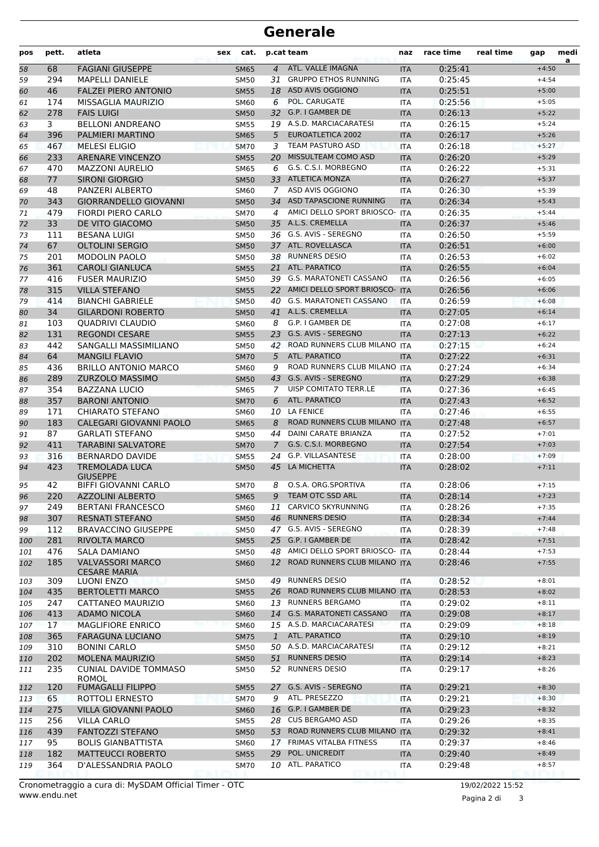| pos      | pett.    | atleta                                             | cat.<br>sex                |                     | p.cat team                                    | naz                      | race time          | real time | gap                | medi<br>a |
|----------|----------|----------------------------------------------------|----------------------------|---------------------|-----------------------------------------------|--------------------------|--------------------|-----------|--------------------|-----------|
| 58       | 68       | <b>FAGIANI GIUSEPPE</b>                            | <b>SM65</b>                | $\overline{4}$      | ATL. VALLE IMAGNA                             | <b>ITA</b>               | 0:25:41            |           | $+4:50$            |           |
| 59       | 294      | <b>MAPELLI DANIELE</b>                             | <b>SM50</b>                | 31                  | <b>GRUPPO ETHOS RUNNING</b>                   | <b>ITA</b>               | 0:25:45            |           | $+4:54$            |           |
| 60       | 46       | <b>FALZEI PIERO ANTONIO</b>                        | <b>SM55</b>                |                     | 18 ASD AVIS OGGIONO                           | <b>ITA</b>               | 0:25:51            |           | $+5:00$            |           |
| 61       | 174      | MISSAGLIA MAURIZIO                                 | <b>SM60</b>                | 6                   | POL. CARUGATE                                 | <b>ITA</b>               | 0:25:56            |           | $+5:05$            |           |
| 62       | 278      | <b>FAIS LUIGI</b>                                  | <b>SM50</b>                | 32                  | G.P. I GAMBER DE                              | <b>ITA</b>               | 0:26:13            |           | $+5:22$            |           |
| 63       | 3        | <b>BELLONI ANDREANO</b>                            | <b>SM55</b>                |                     | 19 A.S.D. MARCIACARATESI                      | <b>ITA</b>               | 0:26:15            |           | $+5:24$            |           |
| 64       | 396      | PALMIERI MARTINO                                   | <b>SM65</b>                | 5                   | <b>EUROATLETICA 2002</b>                      | <b>ITA</b>               | 0:26:17            |           | $+5:26$            |           |
| 65       | 467      | <b>MELESI ELIGIO</b>                               | <b>SM70</b>                | 3                   | TEAM PASTURO ASD                              | <b>ITA</b>               | 0:26:18            |           | $+5:27$            |           |
| 66       | 233      | <b>ARENARE VINCENZO</b>                            | <b>SM55</b>                | 20                  | MISSULTEAM COMO ASD                           | <b>ITA</b>               | 0:26:20            |           | $+5:29$            |           |
| 67       | 470      | <b>MAZZONI AURELIO</b>                             | <b>SM65</b>                | 6                   | G.S. C.S.I. MORBEGNO<br><b>ATLETICA MONZA</b> | <b>ITA</b>               | 0:26:22            |           | $+5:31$            |           |
| 68       | 77<br>48 | <b>SIRONI GIORGIO</b>                              | <b>SM50</b>                | 33<br>$\mathcal{I}$ | ASD AVIS OGGIONO                              | <b>ITA</b>               | 0:26:27<br>0:26:30 |           | $+5:37$<br>$+5:39$ |           |
| 69       | 343      | PANZERI ALBERTO                                    | SM60                       | 34                  | ASD TAPASCIONE RUNNING                        | <b>ITA</b><br><b>ITA</b> | 0:26:34            |           | $+5:43$            |           |
| 70<br>71 | 479      | <b>GIORRANDELLO GIOVANNI</b><br>FIORDI PIERO CARLO | <b>SM50</b><br><b>SM70</b> | 4                   | AMICI DELLO SPORT BRIOSCO- ITA                |                          | 0:26:35            |           | $+5:44$            |           |
|          | 33       | DE VITO GIACOMO                                    | <b>SM50</b>                |                     | 35 A.L.S. CREMELLA                            | <b>ITA</b>               | 0:26:37            |           | $+5:46$            |           |
| 72<br>73 | 111      | <b>BESANA LUIGI</b>                                | <b>SM50</b>                |                     | 36 G.S. AVIS - SEREGNO                        | <b>ITA</b>               | 0:26:50            |           | $+5:59$            |           |
| 74       | 67       | <b>OLTOLINI SERGIO</b>                             | <b>SM50</b>                | 37                  | ATL. ROVELLASCA                               | <b>ITA</b>               | 0:26:51            |           | $+6:00$            |           |
| 75       | 201      | <b>MODOLIN PAOLO</b>                               | SM50                       |                     | 38 RUNNERS DESIO                              | <b>ITA</b>               | 0:26:53            |           | $+6:02$            |           |
| 76       | 361      | <b>CAROLI GIANLUCA</b>                             | <b>SM55</b>                | 21                  | <b>ATL. PARATICO</b>                          | <b>ITA</b>               | 0:26:55            |           | $+6:04$            |           |
| 77       | 416      | <b>FUSER MAURIZIO</b>                              | <b>SM50</b>                |                     | 39 G.S. MARATONETI CASSANO                    | <b>ITA</b>               | 0:26:56            |           | $+6:05$            |           |
| 78       | 315      | <b>VILLA STEFANO</b>                               | <b>SM55</b>                |                     | 22 AMICI DELLO SPORT BRIOSCO- ITA             |                          | 0:26:56            |           | $+6:06$            |           |
| 79       | 414      | <b>BIANCHI GABRIELE</b>                            | <b>SM50</b>                | 40                  | <b>G.S. MARATONETI CASSANO</b>                | <b>ITA</b>               | 0:26:59            |           | $+6:08$            |           |
| 80       | 34       | <b>GILARDONI ROBERTO</b>                           | <b>SM50</b>                | 41                  | A.L.S. CREMELLA                               | <b>ITA</b>               | 0:27:05            |           | $+6:14$            |           |
| 81       | 103      | QUADRIVI CLAUDIO                                   | SM60                       | 8                   | G.P. I GAMBER DE                              | <b>ITA</b>               | 0:27:08            |           | $+6:17$            |           |
| 82       | 131      | <b>REGONDI CESARE</b>                              | <b>SM55</b>                | 23                  | G.S. AVIS - SEREGNO                           | <b>ITA</b>               | 0:27:13            |           | $+6:22$            |           |
| 83       | 442      | SANGALLI MASSIMILIANO                              | <b>SM50</b>                |                     | 42 ROAD RUNNERS CLUB MILANO ITA               |                          | 0:27:15            |           | $+6:24$            |           |
| 84       | 64       | <b>MANGILI FLAVIO</b>                              | <b>SM70</b>                | 5                   | ATL. PARATICO                                 | <b>ITA</b>               | 0:27:22            |           | $+6:31$            |           |
| 85       | 436      | <b>BRILLO ANTONIO MARCO</b>                        | <b>SM60</b>                | 9                   | ROAD RUNNERS CLUB MILANO ITA                  |                          | 0:27:24            |           | $+6:34$            |           |
| 86       | 289      | <b>ZURZOLO MASSIMO</b>                             | <b>SM50</b>                | 43                  | G.S. AVIS - SEREGNO                           | <b>ITA</b>               | 0:27:29            |           | $+6:38$            |           |
| 87       | 354      | <b>BAZZANA LUCIO</b>                               | <b>SM65</b>                | 7                   | UISP COMITATO TERR.LE                         | <b>ITA</b>               | 0:27:36            |           | $+6:45$            |           |
| 88       | 357      | <b>BARONI ANTONIO</b>                              | <b>SM70</b>                | 6                   | ATL. PARATICO                                 | <b>ITA</b>               | 0:27:43            |           | $+6:52$            |           |
| 89       | 171      | <b>CHIARATO STEFANO</b>                            | SM60                       |                     | 10 LA FENICE                                  | <b>ITA</b>               | 0:27:46            |           | $+6:55$            |           |
| 90       | 183      | CALEGARI GIOVANNI PAOLO                            | <b>SM65</b>                | 8                   | ROAD RUNNERS CLUB MILANO                      | <b>ITA</b>               | 0:27:48            |           | $+6:57$            |           |
| 91       | 87       | <b>GARLATI STEFANO</b>                             | <b>SM50</b>                | 44                  | DAINI CARATE BRIANZA                          | <b>ITA</b>               | 0:27:52            |           | $+7:01$            |           |
| 92       | 411      | <b>TARABINI SALVATORE</b>                          | <b>SM70</b>                | 7                   | G.S. C.S.I. MORBEGNO                          | <b>ITA</b>               | 0:27:54            |           | $+7:03$            |           |
| 93       | 316      | <b>BERNARDO DAVIDE</b>                             | <b>SM55</b>                | 24                  | <b>G.P. VILLASANTESE</b>                      | <b>ITA</b>               | 0:28:00            |           | $+7:09$            |           |
| 94       | 423      | <b>TREMOLADA LUCA</b><br><b>GIUSEPPE</b>           | <b>SM50</b>                | 45                  | LA MICHETTA                                   | <b>ITA</b>               | 0:28:02            |           | $+7:11$            |           |
| 95       | 42       | <b>BIFFI GIOVANNI CARLO</b>                        | <b>SM70</b>                | 8                   | O.S.A. ORG.SPORTIVA                           | <b>ITA</b>               | 0:28:06            |           | $+7:15$            |           |
| 96       | 220      | AZZOLINI ALBERTO                                   | 5M65                       | 9                   | TEAM OTC SSD ARL                              | $\mathsf{II} \mathsf{A}$ | 0:28:14            |           | $+1:23$            |           |
| 97       | 249      | <b>BERTANI FRANCESCO</b>                           | SM60                       |                     | 11 CARVICO SKYRUNNING                         | ITA                      | 0:28:26            |           | $+7:35$            |           |
| 98       | 307      | <b>RESNATI STEFANO</b>                             | <b>SM50</b>                |                     | 46 RUNNERS DESIO                              | <b>ITA</b>               | 0:28:34            |           | $+7:44$            |           |
| 99       | 112      | <b>BRAVACCINO GIUSEPPE</b>                         | SM50                       |                     | 47 G.S. AVIS - SEREGNO                        | ITA                      | 0:28:39            |           | $+7:48$            |           |
| 100      | 281      | <b>RIVOLTA MARCO</b>                               | <b>SM55</b>                |                     | 25 G.P. I GAMBER DE                           | <b>ITA</b>               | 0:28:42            |           | $+7:51$            |           |
| 101      | 476      | SALA DAMIANO                                       | SM50                       |                     | 48 AMICI DELLO SPORT BRIOSCO- ITA             |                          | 0:28:44            |           | $+7:53$            |           |
| 102      | 185      | <b>VALVASSORI MARCO</b><br><b>CESARE MARIA</b>     | <b>SM60</b>                |                     | 12 ROAD RUNNERS CLUB MILANO ITA               |                          | 0:28:46            |           | $+7:55$            |           |
| 103      | 309      | LUONI ENZO                                         | <b>SM50</b>                |                     | 49 RUNNERS DESIO                              | ITA                      | 0:28:52            |           | $+8:01$            |           |
| 104      | 435      | <b>BERTOLETTI MARCO</b>                            | <b>SM55</b>                |                     | 26 ROAD RUNNERS CLUB MILANO ITA               |                          | 0:28:53            |           | $+8:02$            |           |
| 105      | 247      | CATTANEO MAURIZIO                                  | SM60                       |                     | 13 RUNNERS BERGAMO                            | ITA                      | 0:29:02            |           | $+8:11$            |           |
| 106      | 413      | <b>ADAMO NICOLA</b>                                | <b>SM60</b>                |                     | 14 G.S. MARATONETI CASSANO                    | <b>ITA</b>               | 0:29:08            |           | $+8:17$            |           |
| 107      | 17       | <b>MAGLIFIORE ENRICO</b>                           | <b>SM60</b>                |                     | 15 A.S.D. MARCIACARATESI                      | ITA                      | 0:29:09            |           | $+8:18$            |           |
| 108      | 365      | <b>FARAGUNA LUCIANO</b>                            | <b>SM75</b>                | $\mathbf{1}$        | ATL. PARATICO                                 | <b>ITA</b>               | 0:29:10            |           | $+8:19$            |           |
| 109      | 310      | <b>BONINI CARLO</b>                                | SM50                       |                     | 50 A.S.D. MARCIACARATESI                      | ITA                      | 0:29:12            |           | $+8:21$            |           |
| 110      | 202      | <b>MOLENA MAURIZIO</b>                             | <b>SM50</b>                | 51                  | <b>RUNNERS DESIO</b>                          | <b>ITA</b>               | 0:29:14            |           | $+8:23$            |           |
| 111      | 235      | <b>CUNIAL DAVIDE TOMMASO</b><br><b>ROMOL</b>       | <b>SM50</b>                |                     | 52 RUNNERS DESIO                              | ITA                      | 0:29:17            |           | $+8:26$            |           |
| 112      | 120      | <b>FUMAGALLI FILIPPO</b>                           | <b>SM55</b>                | 27                  | G.S. AVIS - SEREGNO                           | <b>ITA</b>               | 0:29:21            |           | $+8:30$            |           |
| 113      | 65       | ROTTOLI ERNESTO                                    | <b>SM70</b>                | 9                   | ATL. PRESEZZO                                 | <b>ITA</b>               | 0:29:21            |           | $+8:30$            |           |
| 114      | 275      | <b>VILLA GIOVANNI PAOLO</b>                        | <b>SM60</b>                |                     | 16 G.P. I GAMBER DE                           | <b>ITA</b>               | 0:29:23            |           | $+8:32$            |           |
| 115      | 256      | <b>VILLA CARLO</b>                                 | SM55                       |                     | 28 CUS BERGAMO ASD                            | ITA                      | 0:29:26            |           | $+8:35$            |           |
| 116      | 439      | <b>FANTOZZI STEFANO</b>                            | <b>SM50</b>                |                     | 53 ROAD RUNNERS CLUB MILANO ITA               |                          | 0:29:32            |           | $+8:41$            |           |
| 117      | 95       | <b>BOLIS GIANBATTISTA</b>                          | <b>SM60</b>                |                     | 17 FRIMAS VITALBA FITNESS                     | ITA                      | 0:29:37            |           | $+8:46$            |           |
| 118      | 182      | <b>MATTEUCCI ROBERTO</b>                           | <b>SM55</b>                | 29                  | POL. UNICREDIT                                | <b>ITA</b>               | 0:29:40            |           | $+8:49$            |           |
| 119      | 364      | D'ALESSANDRIA PAOLO                                | <b>SM70</b>                |                     | 10 ATL. PARATICO                              | ITA                      | 0:29:48            |           | $+8:57$            |           |

Pagina 2 di 3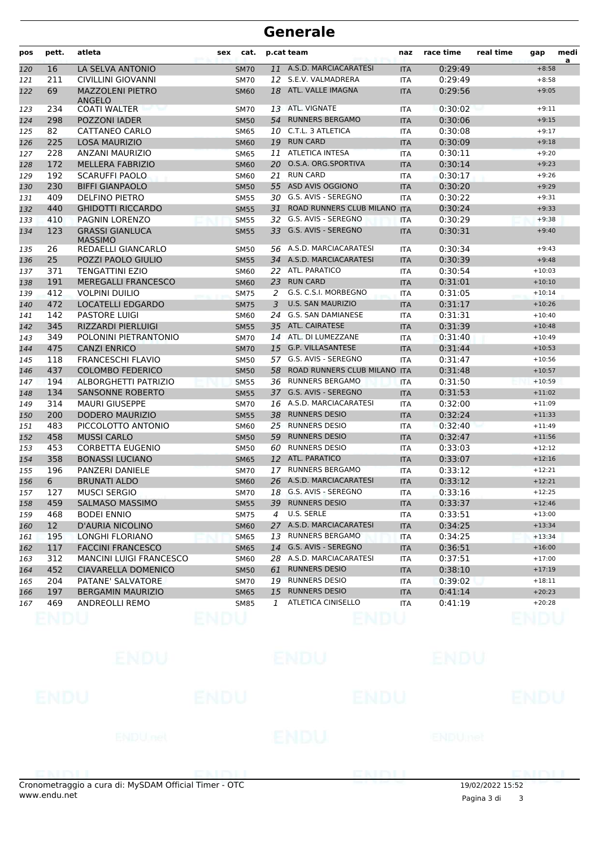| pos        | pett.           | atleta                                   | sex | cat.        |    | p.cat team                   | naz               | race time | real time | gap      | medi<br>a |
|------------|-----------------|------------------------------------------|-----|-------------|----|------------------------------|-------------------|-----------|-----------|----------|-----------|
| 120        | 16              | LA SELVA ANTONIO                         |     | <b>SM70</b> |    | 11 A.S.D. MARCIACARATESI     | <b>ITA</b>        | 0:29:49   |           | $+8:58$  |           |
| 121        | 211             | CIVILLINI GIOVANNI                       |     | <b>SM70</b> |    | 12 S.E.V. VALMADRERA         | <b>ITA</b>        | 0:29:49   |           | $+8:58$  |           |
| 122        | 69              | <b>MAZZOLENI PIETRO</b><br>ANGELO        |     | <b>SM60</b> |    | 18 ATL. VALLE IMAGNA         | <b>ITA</b>        | 0:29:56   |           | $+9:05$  |           |
| 123        | 234             | <b>COATI WALTER</b>                      |     | <b>SM70</b> |    | 13 ATL. VIGNATE              | ITA               | 0:30:02   |           | $+9:11$  |           |
| 124        | 298             | POZZONI IADER                            |     | <b>SM50</b> | 54 | <b>RUNNERS BERGAMO</b>       | <b>ITA</b>        | 0:30:06   |           | $+9:15$  |           |
| 125        | 82              | CATTANEO CARLO                           |     | SM65        | 10 | C.T.L. 3 ATLETICA            | <b>ITA</b>        | 0:30:08   |           | $+9:17$  |           |
| 126        | 225             | <b>LOSA MAURIZIO</b>                     |     | <b>SM60</b> | 19 | <b>RUN CARD</b>              | <b>ITA</b>        | 0:30:09   |           | $+9:18$  |           |
| 127        | 228             | <b>ANZANI MAURIZIO</b>                   |     | <b>SM65</b> | 11 | <b>ATLETICA INTESA</b>       | <b>ITA</b>        | 0:30:11   |           | $+9:20$  |           |
| 128        | 172             | <b>MELLERA FABRIZIO</b>                  |     | <b>SM60</b> |    | 20 O.S.A. ORG.SPORTIVA       | <b>ITA</b>        | 0:30:14   |           | $+9:23$  |           |
| 129        | 192             | <b>SCARUFFI PAOLO</b>                    |     | <b>SM60</b> |    | 21 RUN CARD                  | ITA               | 0:30:17   |           | $+9:26$  |           |
| 130        | 230             | <b>BIFFI GIANPAOLO</b>                   |     | <b>SM50</b> |    | 55 ASD AVIS OGGIONO          | <b>ITA</b>        | 0:30:20   |           | $+9:29$  |           |
| 131        | 409             | DELFINO PIETRO                           |     | SM55        |    | 30 G.S. AVIS - SEREGNO       | <b>ITA</b>        | 0:30:22   |           | $+9:31$  |           |
| 132        | 440             | <b>GHIDOTTI RICCARDO</b>                 |     | <b>SM55</b> | 31 | ROAD RUNNERS CLUB MILANO ITA |                   | 0:30:24   |           | $+9:33$  |           |
| 133        | 410             | PAGNIN LORENZO                           |     | <b>SM55</b> | 32 | G.S. AVIS - SEREGNO          | <b>ITA</b>        | 0:30:29   |           | $+9:38$  |           |
| 134        | 123             | <b>GRASSI GIANLUCA</b><br><b>MASSIMO</b> |     | <b>SM55</b> |    | 33 G.S. AVIS - SEREGNO       | <b>ITA</b>        | 0:30:31   |           | $+9:40$  |           |
| 135        | 26              | REDAELLI GIANCARLO                       |     | <b>SM50</b> |    | 56 A.S.D. MARCIACARATESI     | ITA               | 0:30:34   |           | $+9:43$  |           |
| 136        | 25              | POZZI PAOLO GIULIO                       |     | <b>SM55</b> |    | 34 A.S.D. MARCIACARATESI     | <b>ITA</b>        | 0:30:39   |           | $+9:48$  |           |
| 137        | 371             | <b>TENGATTINI EZIO</b>                   |     | <b>SM60</b> |    | 22 ATL. PARATICO             | <b>ITA</b>        | 0:30:54   |           | $+10:03$ |           |
| 138        | 191             | <b>MEREGALLI FRANCESCO</b>               |     | <b>SM60</b> | 23 | <b>RUN CARD</b>              | <b>ITA</b>        | 0:31:01   |           | $+10:10$ |           |
| 139        | 412             | <b>VOLPINI DUILIO</b>                    |     | <b>SM75</b> | 2  | G.S. C.S.I. MORBEGNO         | <b>ITA</b>        | 0:31:05   |           | $+10:14$ |           |
| 140        | 472             | <b>LOCATELLI EDGARDO</b>                 |     | <b>SM75</b> | 3  | <b>U.S. SAN MAURIZIO</b>     | <b>ITA</b>        | 0:31:17   |           | $+10:26$ |           |
| 141        | 142             | <b>PASTORE LUIGI</b>                     |     | <b>SM60</b> |    | 24 G.S. SAN DAMIANESE        | <b>ITA</b>        | 0:31:31   |           | $+10:40$ |           |
| 142        | 345             | <b>RIZZARDI PIERLUIGI</b>                |     | <b>SM55</b> |    | 35 ATL. CAIRATESE            | <b>ITA</b>        | 0:31:39   |           | $+10:48$ |           |
| 143        | 349             | POLONINI PIETRANTONIO                    |     | <b>SM70</b> |    | 14 ATL. DI LUMEZZANE         | ITA               | 0:31:40   |           | $+10:49$ |           |
| 144        | 475             | <b>CANZI ENRICO</b>                      |     | <b>SM70</b> | 15 | <b>G.P. VILLASANTESE</b>     | <b>ITA</b>        | 0:31:44   |           | $+10:53$ |           |
| 145        | 118             | <b>FRANCESCHI FLAVIO</b>                 |     | <b>SM50</b> | 57 | G.S. AVIS - SEREGNO          | <b>ITA</b>        | 0:31:47   |           | $+10:56$ |           |
| 146        | 437             | <b>COLOMBO FEDERICO</b>                  |     | <b>SM50</b> | 58 | ROAD RUNNERS CLUB MILANO     | <b>ITA</b>        | 0:31:48   |           | $+10:57$ |           |
| 147        | 194             | ALBORGHETTI PATRIZIO                     |     | <b>SM55</b> |    | 36 RUNNERS BERGAMO           | <b>ITA</b>        | 0:31:50   |           | $+10:59$ |           |
| 148        | 134             | <b>SANSONNE ROBERTO</b>                  |     | <b>SM55</b> |    | 37 G.S. AVIS - SEREGNO       | <b>ITA</b>        | 0:31:53   |           | $+11:02$ |           |
| 149        | 314             | <b>MAURI GIUSEPPE</b>                    |     | <b>SM70</b> |    | 16 A.S.D. MARCIACARATESI     | <b>ITA</b>        | 0:32:00   |           | $+11:09$ |           |
| 150        | 200             | <b>DODERO MAURIZIO</b>                   |     | <b>SM55</b> |    | 38 RUNNERS DESIO             | <b>ITA</b>        | 0:32:24   |           | $+11:33$ |           |
| 151        | 483             | PICCOLOTTO ANTONIO                       |     | <b>SM60</b> | 25 | <b>RUNNERS DESIO</b>         | <b>ITA</b>        | 0:32:40   |           | $+11:49$ |           |
| 152        | 458             | <b>MUSSI CARLO</b>                       |     | <b>SM50</b> | 59 | <b>RUNNERS DESIO</b>         | <b>ITA</b>        | 0:32:47   |           | $+11:56$ |           |
| 153        | 453             | <b>CORBETTA EUGENIO</b>                  |     | <b>SM50</b> |    | 60 RUNNERS DESIO             | ITA               | 0:33:03   |           | $+12:12$ |           |
| 154        | 358             | <b>BONASSI LUCIANO</b>                   |     | <b>SM65</b> |    | 12 ATL. PARATICO             | <b>ITA</b>        | 0:33:07   |           | $+12:16$ |           |
| 155        | 196             | PANZERI DANIELE                          |     | <b>SM70</b> |    | 17 RUNNERS BERGAMO           | <b>ITA</b>        | 0:33:12   |           | $+12:21$ |           |
| 156        | 6               | <b>BRUNATI ALDO</b>                      |     | <b>SM60</b> |    | 26 A.S.D. MARCIACARATESI     | <b>ITA</b>        | 0:33:12   |           | $+12:21$ |           |
| 157        | 127             | <b>MUSCI SERGIO</b>                      |     | <b>SM70</b> |    | 18 G.S. AVIS - SEREGNO       | <b>ITA</b>        | 0:33:16   |           | $+12:25$ |           |
| 158        | 459             | <b>SALMASO MASSIMO</b>                   |     | <b>SM55</b> |    | 39 RUNNERS DESIO             | ITA               | 0:33:37   |           | $+12:46$ |           |
| 159        | 468             | <b>BODEI ENNIO</b>                       |     | SM75        |    | 4 U.S. SERLE                 | ITA               | 0:33:51   |           | $+13:00$ |           |
|            | 12 <sup>2</sup> | <b>D'AURIA NICOLINO</b>                  |     | <b>SM60</b> |    | 27 A.S.D. MARCIACARATESI     | <b>ITA</b>        | 0:34:25   |           | $+13:34$ |           |
| 160<br>161 | 195             | LONGHI FLORIANO                          |     | <b>SM65</b> |    | 13 RUNNERS BERGAMO           | ITA               | 0:34:25   |           | $+13:34$ |           |
| 162        | 117             | <b>FACCINI FRANCESCO</b>                 |     | <b>SM65</b> |    | 14 G.S. AVIS - SEREGNO       | <b>ITA</b>        | 0:36:51   |           | $+16:00$ |           |
|            | 312             | <b>MANCINI LUIGI FRANCESCO</b>           |     | <b>SM60</b> |    | 28 A.S.D. MARCIACARATESI     |                   | 0:37:51   |           | $+17:00$ |           |
| 163        | 452             | CIAVARELLA DOMENICO                      |     | <b>SM50</b> | 61 | <b>RUNNERS DESIO</b>         | ITA<br><b>ITA</b> | 0:38:10   |           | $+17:19$ |           |
| 164        | 204             | PATANE' SALVATORE                        |     | <b>SM70</b> |    | 19 RUNNERS DESIO             | ITA               | 0:39:02   |           | $+18:11$ |           |
| 165        | 197             | <b>BERGAMIN MAURIZIO</b>                 |     |             | 15 | <b>RUNNERS DESIO</b>         |                   |           |           | $+20:23$ |           |
| 166        | 469             |                                          |     | <b>SM65</b> | 1  | ATLETICA CINISELLO           | <b>ITA</b>        | 0:41:14   |           |          |           |
| 167        |                 | ANDREOLLI REMO                           |     | SM85        |    |                              | ITA               | 0:41:19   |           | $+20:28$ |           |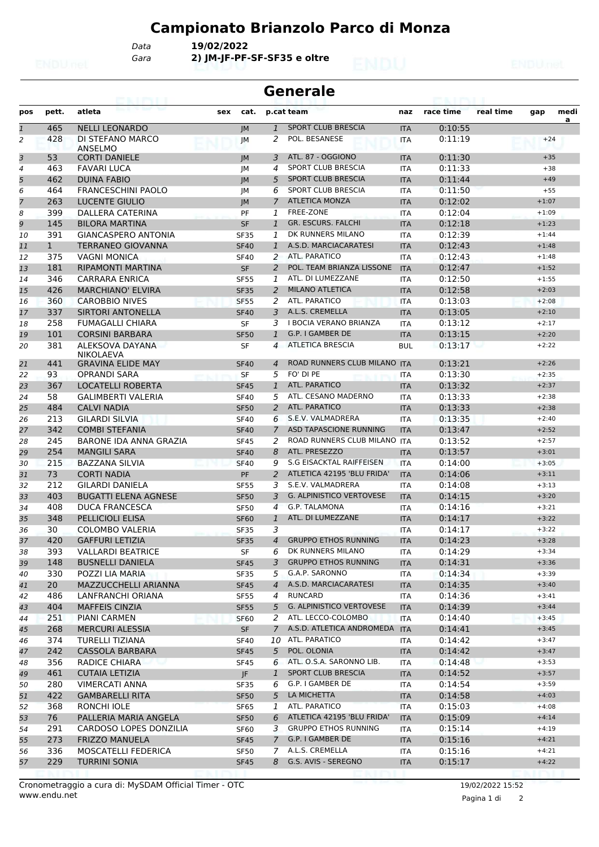# **Campionato Brianzolo Parco di Monza**

*Gara* **2) JM-JF-PF-SF-SF35 e oltre** *Data* **19/02/2022**

|                | <b>Generale</b><br>enimi |                                              |     |                            |                |                                                  |                          |                    |           |                    |           |  |
|----------------|--------------------------|----------------------------------------------|-----|----------------------------|----------------|--------------------------------------------------|--------------------------|--------------------|-----------|--------------------|-----------|--|
| pos            | pett.                    | atleta                                       | sex | cat.                       |                | p.cat team                                       | naz                      | race time          | real time | gap                | medi<br>a |  |
| $\overline{1}$ | 465                      | <b>NELLI LEONARDO</b>                        |     | IM                         | $\mathbf{1}$   | <b>SPORT CLUB BRESCIA</b>                        | <b>ITA</b>               | 0:10:55            |           |                    |           |  |
| $\overline{a}$ | 428                      | DI STEFANO MARCO<br>ANSELMO                  |     | JМ                         | 2              | POL. BESANESE                                    | <b>ITA</b>               | 0:11:19            |           | $+24$              |           |  |
| 3              | 53                       | <b>CORTI DANIELE</b>                         |     | IM                         | 3              | ATL, 87 - OGGIONO                                | <b>ITA</b>               | 0:11:30            |           | $+35$              |           |  |
| 4              | 463                      | <b>FAVARI LUCA</b>                           |     | JМ                         | 4              | <b>SPORT CLUB BRESCIA</b>                        | <b>ITA</b>               | 0:11:33            |           | $+38$              |           |  |
| 5              | 462                      | <b>DUINA FABIO</b>                           |     | IM                         | 5              | <b>SPORT CLUB BRESCIA</b>                        | <b>ITA</b>               | 0:11:44            |           | $+49$              |           |  |
| 6              | 464                      | <b>FRANCESCHINI PAOLO</b>                    |     | JМ                         | 6              | <b>SPORT CLUB BRESCIA</b>                        | <b>ITA</b>               | 0:11:50            |           | $+55$              |           |  |
| $\overline{7}$ | 263                      | <b>LUCENTE GIULIO</b>                        |     | M                          | $\overline{7}$ | <b>ATLETICA MONZA</b>                            | <b>ITA</b>               | 0:12:02            |           | $+1:07$            |           |  |
| 8              | 399                      | DALLERA CATERINA                             |     | PF                         | 1              | <b>FREE-ZONE</b>                                 | <b>ITA</b>               | 0:12:04            |           | $+1:09$            |           |  |
| 9              | 145                      | <b>BILORA MARTINA</b>                        |     | <b>SF</b>                  | $\mathbf{1}$   | GR. ESCURS. FALCHI                               | <b>ITA</b>               | 0:12:18            |           | $+1:23$            |           |  |
| 10             | 391                      | <b>GIANCASPERO ANTONIA</b>                   |     | <b>SF35</b>                | 1              | DK RUNNERS MILANO                                | <b>ITA</b>               | 0:12:39            |           | $+1:44$            |           |  |
| 11             | $\mathbf{1}$             | <b>TERRANEO GIOVANNA</b>                     |     | <b>SF40</b>                | 1              | A.S.D. MARCIACARATESI                            | <b>ITA</b>               | 0:12:43            |           | $+1:48$            |           |  |
| 12             | 375                      | <b>VAGNI MONICA</b>                          |     | <b>SF40</b>                | 2              | <b>ATL, PARATICO</b>                             | <b>ITA</b>               | 0:12:43            |           | $+1:48$            |           |  |
| 13             | 181                      | <b>RIPAMONTI MARTINA</b>                     |     | <b>SF</b>                  | $\overline{2}$ | POL. TEAM BRIANZA LISSONE                        | <b>ITA</b>               | 0:12:47            |           | $+1:52$            |           |  |
| 14             | 346                      | <b>CARRARA ENRICA</b>                        |     | <b>SF55</b>                | 1              | ATL. DI LUMEZZANE                                | <b>ITA</b>               | 0:12:50            |           | $+1:55$            |           |  |
| 15             | 426                      | <b>MARCHIANO' ELVIRA</b>                     |     | <b>SF35</b>                | 2              | <b>MILANO ATLETICA</b>                           | <b>ITA</b>               | 0:12:58            |           | $+2:03$            |           |  |
| 16             | 360                      | <b>CAROBBIO NIVES</b>                        |     | <b>SF55</b>                | 2              | ATL. PARATICO                                    | <b>ITA</b>               | 0:13:03            |           | $+2:08$            |           |  |
| 17             | 337                      | SIRTORI ANTONELLA                            |     | <b>SF40</b>                | 3              | A.L.S. CREMELLA                                  | <b>ITA</b>               | 0:13:05            |           | $+2:10$            |           |  |
| 18             | 258                      | <b>FUMAGALLI CHIARA</b>                      |     | <b>SF</b>                  | 3              | <b>I BOCIA VERANO BRIANZA</b>                    | <b>ITA</b>               | 0:13:12            |           | $+2:17$            |           |  |
| 19             | 101                      | <b>CORSINI BARBARA</b>                       |     | <b>SF50</b>                | $\mathbf{1}$   | G.P. I GAMBER DE                                 | <b>ITA</b>               | 0:13:15            |           | $+2:20$            |           |  |
| 20             | 381                      | ALEKSOVA DAYANA<br><b>NIKOLAEVA</b>          |     | SF                         | $\overline{4}$ | <b>ATLETICA BRESCIA</b>                          | <b>BUL</b>               | 0:13:17            |           | $+2:22$            |           |  |
| 21             | 441                      | <b>GRAVINA ELIDE MAY</b>                     |     | <b>SF40</b>                | $\overline{4}$ | ROAD RUNNERS CLUB MILANO ITA                     |                          | 0:13:21            |           | $+2:26$            |           |  |
| 22             | 93                       | <b>OPRANDI SARA</b>                          |     | <b>SF</b>                  | 5              | FO' DI PE                                        | <b>ITA</b>               | 0:13:30            |           | $+2:35$            |           |  |
| 23             | 367                      | <b>LOCATELLI ROBERTA</b>                     |     | <b>SF45</b>                | 1              | <b>ATL, PARATICO</b>                             | <b>ITA</b>               | 0:13:32            |           | $+2:37$            |           |  |
| 24             | 58                       | <b>GALIMBERTI VALERIA</b>                    |     | <b>SF40</b>                | 5              | ATL. CESANO MADERNO                              | <b>ITA</b>               | 0:13:33            |           | $+2:38$            |           |  |
| 25             | 484                      | <b>CALVI NADIA</b>                           |     | <b>SF50</b>                | 2              | <b>ATL. PARATICO</b>                             | <b>ITA</b>               | 0:13:33            |           | $+2:38$            |           |  |
| 26             | 213                      | <b>GILARDI SILVIA</b>                        |     | <b>SF40</b>                | 6              | S.E.V. VALMADRERA                                | ITA                      | 0:13:35            |           | $+2:40$            |           |  |
| 27             | 342                      | <b>COMBI STEFANIA</b>                        |     | <b>SF40</b>                | $\overline{7}$ | ASD TAPASCIONE RUNNING                           | <b>ITA</b>               | 0:13:47            |           | $+2:52$            |           |  |
| 28             | 245                      | BARONE IDA ANNA GRAZIA                       |     | <b>SF45</b>                | 2              | ROAD RUNNERS CLUB MILANO ITA                     |                          | 0:13:52            |           | $+2:57$            |           |  |
| 29             | 254                      | <b>MANGILI SARA</b>                          |     | <b>SF40</b>                | 8              | ATL. PRESEZZO<br><b>S.G EISACKTAL RAIFFEISEN</b> | <b>ITA</b>               | 0:13:57            |           | $+3:01$            |           |  |
| 30             | 215                      | <b>BAZZANA SILVIA</b>                        |     | <b>SF40</b>                | 9              | ATLETICA 42195 'BLU FRIDA'                       | <b>ITA</b>               | 0:14:00            |           | $+3:05$            |           |  |
| 31             | 73<br>212                | <b>CORTI NADIA</b><br><b>GILARDI DANIELA</b> |     | PF                         | 2<br>3         | S.E.V. VALMADRERA                                | <b>ITA</b>               | 0:14:06<br>0:14:08 |           | $+3:11$<br>$+3:13$ |           |  |
| 32<br>33       | 403                      | <b>BUGATTI ELENA AGNESE</b>                  |     | <b>SF55</b><br><b>SF50</b> | 3              | <b>G. ALPINISTICO VERTOVESE</b>                  | ITA<br><b>ITA</b>        | 0:14:15            |           | $+3:20$            |           |  |
| 34             | 408                      | <b>DUCA FRANCESCA</b>                        |     | <b>SF50</b>                | 4              | G.P. TALAMONA                                    | <b>ITA</b>               | 0:14:16            |           | $+3:21$            |           |  |
| 35             | 348                      | <b>PELLICIOLI ELISA</b>                      |     |                            | 1              | ATL. DI LUMEZZANE                                |                          | 0:14:17            |           | $+3:22$            |           |  |
| 36             | 30                       | <b>COLOMBO VALERIA</b>                       |     | <b>SF60</b><br><b>SF35</b> | 3              |                                                  | <b>ITA</b><br><b>ITA</b> | 0:14:17            |           | $+3:22$            |           |  |
| 37             | 420                      | <b>GAFFURI LETIZIA</b>                       |     | <b>SF35</b>                | 4              | <b>GRUPPO ETHOS RUNNING</b>                      | <b>ITA</b>               | 0:14:23            |           | $+3:28$            |           |  |
| 38             | 393                      | <b>VALLARDI BEATRICE</b>                     |     | SF                         | 6              | DK RUNNERS MILANO                                | ITA                      | 0:14:29            |           | $+3:34$            |           |  |
| 39             | 148                      | <b>BUSNELLI DANIELA</b>                      |     | <b>SF45</b>                | 3              | <b>GRUPPO ETHOS RUNNING</b>                      | <b>ITA</b>               | 0:14:31            |           | $+3:36$            |           |  |
| 40             | 330                      | POZZI LIA MARIA                              |     | <b>SF35</b>                | 5              | G.A.P. SARONNO                                   | ITA                      | 0:14:34            |           | $+3:39$            |           |  |
| 41             | 20                       | MAZZUCCHELLI ARIANNA                         |     | <b>SF45</b>                | $\overline{4}$ | A.S.D. MARCIACARATESI                            | <b>ITA</b>               | 0:14:35            |           | $+3:40$            |           |  |
| 42             | 486                      | LANFRANCHI ORIANA                            |     | SF55                       | 4              | <b>RUNCARD</b>                                   | ITA                      | 0:14:36            |           | $+3:41$            |           |  |
| 43             | 404                      | <b>MAFFEIS CINZIA</b>                        |     | <b>SF55</b>                | 5              | <b>G. ALPINISTICO VERTOVESE</b>                  | <b>ITA</b>               | 0:14:39            |           | $+3:44$            |           |  |
| 44             | 251                      | PIANI CARMEN                                 |     | SF60                       | 2              | ATL. LECCO-COLOMBO                               | <b>ITA</b>               | 0:14:40            |           | $+3:45$            |           |  |
| 45             | 268                      | <b>MERCURI ALESSIA</b>                       |     | <b>SF</b>                  | $\overline{7}$ | A.S.D. ATLETICA ANDROMEDA ITA                    |                          | 0:14:41            |           | $+3:45$            |           |  |
| 46             | 374                      | <b>TURELLI TIZIANA</b>                       |     | <b>SF40</b>                |                | 10 ATL. PARATICO                                 | ITA                      | 0:14:42            |           | $+3:47$            |           |  |
| 47             | 242                      | <b>CASSOLA BARBARA</b>                       |     | <b>SF45</b>                | 5              | POL. OLONIA                                      | <b>ITA</b>               | 0:14:42            |           | $+3:47$            |           |  |
| 48             | 356                      | RADICE CHIARA                                |     | <b>SF45</b>                | 6              | ATL. O.S.A. SARONNO LIB.                         | ITA                      | 0:14:48            |           | $+3:53$            |           |  |
| 49             | 461                      | <b>CUTAIA LETIZIA</b>                        |     | JF.                        | 1              | SPORT CLUB BRESCIA                               | <b>ITA</b>               | 0:14:52            |           | $+3:57$            |           |  |
| 50             | 280                      | <b>VIMERCATI ANNA</b>                        |     | SF35                       | 6              | G.P. I GAMBER DE                                 | ITA                      | 0:14:54            |           | $+3:59$            |           |  |
| 51             | 422                      | <b>GAMBARELLI RITA</b>                       |     | <b>SF50</b>                | 5              | LA MICHETTA                                      | <b>ITA</b>               | 0:14:58            |           | $+4:03$            |           |  |
| 52             | 368                      | RONCHI IOLE                                  |     | <b>SF65</b>                | 1              | ATL. PARATICO                                    | <b>ITA</b>               | 0:15:03            |           | $+4:08$            |           |  |
| 53             | 76                       | PALLERIA MARIA ANGELA                        |     | <b>SF50</b>                | 6              | ATLETICA 42195 'BLU FRIDA'                       | <b>ITA</b>               | 0:15:09            |           | $+4:14$            |           |  |
| 54             | 291                      | CARDOSO LOPES DONZILIA                       |     | SF60                       | 3              | <b>GRUPPO ETHOS RUNNING</b>                      | ITA                      | 0:15:14            |           | $+4:19$            |           |  |
| 55             | 273                      | <b>FRIZZO MANUELA</b>                        |     | <b>SF45</b>                | $7^{\circ}$    | G.P. I GAMBER DE                                 | <b>ITA</b>               | 0:15:16            |           | $+4:21$            |           |  |
| 56             | 336                      | MOSCATELLI FEDERICA                          |     | SF50                       | 7              | A.L.S. CREMELLA                                  | ITA                      | 0:15:16            |           | $+4:21$            |           |  |
| 57             | 229                      | <b>TURRINI SONIA</b>                         |     | <b>SF45</b>                | 8              | G.S. AVIS - SEREGNO                              | <b>ITA</b>               | 0:15:17            |           | $+4:22$            |           |  |
|                |                          |                                              |     |                            |                |                                                  |                          |                    |           |                    |           |  |

Pagina 1 di 2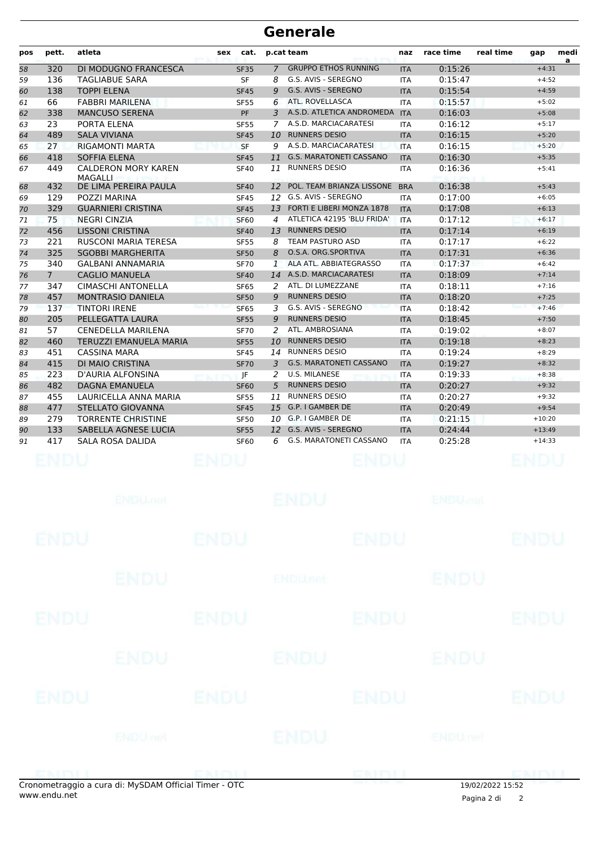| pos | pett.          | atleta                                | sex | cat.        |                 | p.cat team                     | naz        | race time | real time | gap      | medi<br>a |
|-----|----------------|---------------------------------------|-----|-------------|-----------------|--------------------------------|------------|-----------|-----------|----------|-----------|
| 58  | 320            | DI MODUGNO FRANCESCA                  |     | <b>SF35</b> | $\overline{7}$  | <b>GRUPPO ETHOS RUNNING</b>    | <b>ITA</b> | 0:15:26   |           | $+4:31$  |           |
| 59  | 136            | <b>TAGLIABUE SARA</b>                 |     | <b>SF</b>   | 8               | G.S. AVIS - SEREGNO            | <b>ITA</b> | 0:15:47   |           | $+4:52$  |           |
| 60  | 138            | <b>TOPPI ELENA</b>                    |     | <b>SF45</b> | 9               | G.S. AVIS - SEREGNO            | <b>ITA</b> | 0:15:54   |           | $+4:59$  |           |
| 61  | 66             | <b>FABBRI MARILENA</b>                |     | <b>SF55</b> | 6               | ATL. ROVELLASCA                | <b>ITA</b> | 0:15:57   |           | $+5:02$  |           |
| 62  | 338            | <b>MANCUSO SERENA</b>                 |     | PF          | 3               | A.S.D. ATLETICA ANDROMEDA      | <b>ITA</b> | 0:16:03   |           | $+5:08$  |           |
| 63  | 23             | PORTA ELENA                           |     | <b>SF55</b> | 7               | A.S.D. MARCIACARATESI          | <b>ITA</b> | 0:16:12   |           | $+5:17$  |           |
| 64  | 489            | <b>SALA VIVIANA</b>                   |     | <b>SF45</b> | 10              | <b>RUNNERS DESIO</b>           | <b>ITA</b> | 0:16:15   |           | $+5:20$  |           |
| 65  | 27             | <b>RIGAMONTI MARTA</b>                |     | <b>SF</b>   | 9               | A.S.D. MARCIACARATESI          | <b>ITA</b> | 0:16:15   |           | $+5:20$  |           |
| 66  | 418            | <b>SOFFIA ELENA</b>                   |     | <b>SF45</b> | 11              | G.S. MARATONETI CASSANO        | <b>ITA</b> | 0:16:30   |           | $+5:35$  |           |
| 67  | 449            | <b>CALDERON MORY KAREN</b><br>MAGALLI |     | <b>SF40</b> | 11              | <b>RUNNERS DESIO</b>           | <b>ITA</b> | 0:16:36   |           | $+5:41$  |           |
| 68  | 432            | DE LIMA PEREIRA PAULA                 |     | <b>SF40</b> | 12              | POL. TEAM BRIANZA LISSONE      | <b>BRA</b> | 0:16:38   |           | $+5:43$  |           |
| 69  | 129            | POZZI MARINA                          |     | <b>SF45</b> |                 | 12 G.S. AVIS - SEREGNO         | <b>ITA</b> | 0:17:00   |           | $+6:05$  |           |
| 70  | 329            | <b>GUARNIERI CRISTINA</b>             |     | <b>SF45</b> |                 | 13 FORTI E LIBERI MONZA 1878   | <b>ITA</b> | 0:17:08   |           | $+6:13$  |           |
| 71  | 75             | <b>NEGRI CINZIA</b>                   |     | <b>SF60</b> | $\overline{4}$  | ATLETICA 42195 'BLU FRIDA'     | <b>ITA</b> | 0:17:12   |           | $+6:17$  |           |
| 72  | 456            | <b>LISSONI CRISTINA</b>               |     | <b>SF40</b> | 13 <sup>7</sup> | <b>RUNNERS DESIO</b>           | <b>ITA</b> | 0:17:14   |           | $+6:19$  |           |
| 73  | 221            | <b>RUSCONI MARIA TERESA</b>           |     | <b>SF55</b> | 8               | <b>TEAM PASTURO ASD</b>        | <b>ITA</b> | 0:17:17   |           | $+6:22$  |           |
| 74  | 325            | <b>SGOBBI MARGHERITA</b>              |     | <b>SF50</b> | 8               | O.S.A. ORG.SPORTIVA            | <b>ITA</b> | 0:17:31   |           | $+6:36$  |           |
| 75  | 340            | GALBANI ANNAMARIA                     |     | <b>SF70</b> | $\mathbf{1}$    | ALA ATL. ABBIATEGRASSO         | <b>ITA</b> | 0:17:37   |           | $+6:42$  |           |
| 76  | $\overline{7}$ | <b>CAGLIO MANUELA</b>                 |     | <b>SF40</b> |                 | 14 A.S.D. MARCIACARATESI       | <b>ITA</b> | 0:18:09   |           | $+7:14$  |           |
| 77  | 347            | <b>CIMASCHI ANTONELLA</b>             |     | <b>SF65</b> | $\mathcal{P}$   | ATL. DI LUMEZZANE              | <b>ITA</b> | 0:18:11   |           | $+7:16$  |           |
| 78  | 457            | <b>MONTRASIO DANIELA</b>              |     | <b>SF50</b> | 9               | <b>RUNNERS DESIO</b>           | <b>ITA</b> | 0:18:20   |           | $+7:25$  |           |
| 79  | 137            | <b>TINTORI IRENE</b>                  |     | <b>SF65</b> | 3               | G.S. AVIS - SEREGNO            | <b>ITA</b> | 0:18:42   |           | $+7:46$  |           |
| 80  | 205            | PELLEGATTA LAURA                      |     | <b>SF55</b> | 9               | <b>RUNNERS DESIO</b>           | <b>ITA</b> | 0:18:45   |           | $+7:50$  |           |
| 81  | 57             | CENEDELLA MARILENA                    |     | <b>SF70</b> | 2               | ATL. AMBROSIANA                | <b>ITA</b> | 0:19:02   |           | $+8:07$  |           |
| 82  | 460            | <b>TERUZZI EMANUELA MARIA</b>         |     | <b>SF55</b> | 10              | <b>RUNNERS DESIO</b>           | <b>ITA</b> | 0:19:18   |           | $+8:23$  |           |
| 83  | 451            | CASSINA MARA                          |     | <b>SF45</b> | 14              | <b>RUNNERS DESIO</b>           | <b>ITA</b> | 0:19:24   |           | $+8:29$  |           |
| 84  | 415            | DI MAIO CRISTINA                      |     | <b>SF70</b> | 3               | <b>G.S. MARATONETI CASSANO</b> | <b>ITA</b> | 0:19:27   |           | $+8:32$  |           |
| 85  | 223            | <b>D'AURIA ALFONSINA</b>              |     | JF          | 2               | <b>U.S. MILANESE</b>           | <b>ITA</b> | 0:19:33   |           | $+8:38$  |           |
| 86  | 482            | <b>DAGNA EMANUELA</b>                 |     | <b>SF60</b> | 5               | <b>RUNNERS DESIO</b>           | <b>ITA</b> | 0:20:27   |           | $+9:32$  |           |
| 87  | 455            | LAURICELLA ANNA MARIA                 |     | <b>SF55</b> | 11              | <b>RUNNERS DESIO</b>           | <b>ITA</b> | 0:20:27   |           | $+9:32$  |           |
| 88  | 477            | <b>STELLATO GIOVANNA</b>              |     | <b>SF45</b> |                 | 15 G.P. I GAMBER DE            | <b>ITA</b> | 0:20:49   |           | $+9:54$  |           |
| 89  | 279            | <b>TORRENTE CHRISTINE</b>             |     | <b>SF50</b> |                 | 10 G.P. I GAMBER DE            | <b>ITA</b> | 0:21:15   |           | $+10:20$ |           |
| 90  | 133            | SABELLA AGNESE LUCIA                  |     | <b>SF55</b> |                 | 12 G.S. AVIS - SEREGNO         | <b>ITA</b> | 0:24:44   |           | $+13:49$ |           |
| 91  | 417            | <b>SALA ROSA DALIDA</b>               |     | <b>SF60</b> | 6               | <b>G.S. MARATONETI CASSANO</b> | <b>ITA</b> | 0:25:28   |           | $+14:33$ |           |
|     |                |                                       |     |             |                 |                                |            |           |           |          |           |

|                         | <b>ENDUMBL</b>                                                                          |             | <b>ENDU</b> |             | <b>ENDU<sub>ndet</sub></b> |               |
|-------------------------|-----------------------------------------------------------------------------------------|-------------|-------------|-------------|----------------------------|---------------|
| <b>ENDU</b>             |                                                                                         | <b>ENDU</b> |             | <b>ENDU</b> |                            | <b>ENDU</b>   |
|                         | <b>ENDU</b>                                                                             |             | ENDUnet     |             | <b>ENDU</b>                |               |
| <b>ENDU</b>             |                                                                                         | <b>ENDU</b> |             | <b>ENDU</b> |                            | <b>ENDU</b>   |
|                         | <b>ENDU</b>                                                                             |             | <b>ENDU</b> |             | ENDU                       |               |
| <b>ENDU</b>             |                                                                                         | <b>ENDU</b> |             | <b>ENDU</b> |                            | <b>ENDU</b>   |
|                         | <b>ENDU<sub>net</sub></b>                                                               |             | ENDU        |             | ENDUmet                    |               |
| <b>EXTENT</b><br>$\sim$ | $\mathbf{u}$ and $\mathbf{u}$ are a second or $\mathbf{u}$ . The second of $\mathbf{u}$ | $- - -$     |             | ENDI        |                            | <b>DMINIT</b> |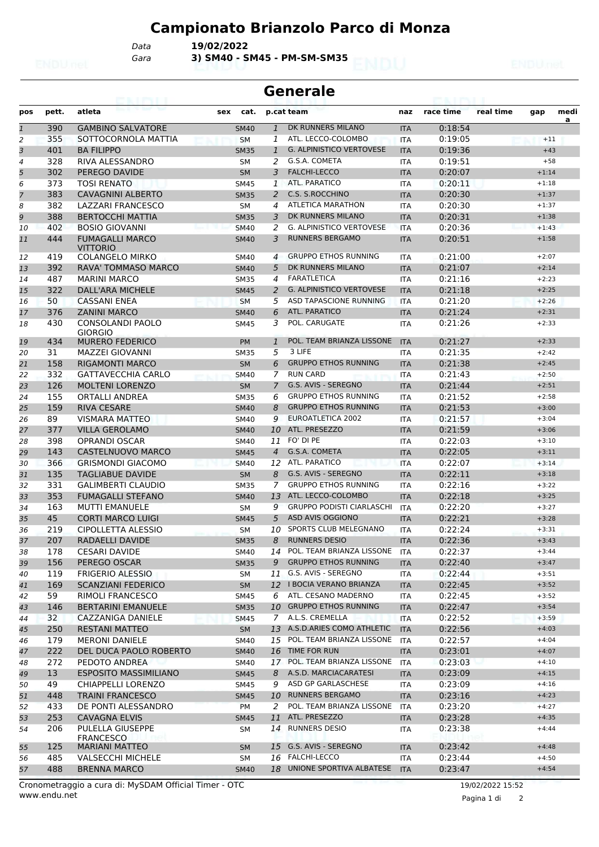# **Campionato Brianzolo Parco di Monza**

*Gara* **3) SM40 - SM45 - PM-SM-SM35** *Data* **19/02/2022**

| <b>Generale</b> |            |                                           |             |                |                                           |            |           |           |         |           |  |  |
|-----------------|------------|-------------------------------------------|-------------|----------------|-------------------------------------------|------------|-----------|-----------|---------|-----------|--|--|
| pos             | pett.      | atleta                                    | sex         | cat.           | p.cat team                                | naz        | race time | real time | gap     | medi<br>a |  |  |
| $\overline{1}$  | 390        | <b>GAMBINO SALVATORE</b>                  | <b>SM40</b> |                | DK RUNNERS MILANO<br>$\mathbf{1}$         | <b>ITA</b> | 0:18:54   |           |         |           |  |  |
| 2               | 355        | SOTTOCORNOLA MATTIA                       | <b>SM</b>   | 1              | ATL. LECCO-COLOMBO                        | <b>ITA</b> | 0:19:05   |           | $+11$   |           |  |  |
| 3               | 401        | <b>BA FILIPPO</b>                         | <b>SM35</b> | 1              | <b>G. ALPINISTICO VERTOVESE</b>           | <b>ITA</b> | 0:19:36   |           | $+43$   |           |  |  |
| 4               | 328        | <b>RIVA ALESSANDRO</b>                    | <b>SM</b>   | 2              | G.S.A. COMETA                             | <b>ITA</b> | 0:19:51   |           | $+58$   |           |  |  |
| 5               | 302        | PEREGO DAVIDE                             | <b>SM</b>   | 3              | <b>FALCHI-LECCO</b>                       | <b>ITA</b> | 0:20:07   |           | $+1:14$ |           |  |  |
| 6               | 373        | <b>TOSI RENATO</b>                        | <b>SM45</b> | 1              | ATL. PARATICO                             | <b>ITA</b> | 0:20:11   |           | $+1:18$ |           |  |  |
| 7               | 383        | <b>CAVAGNINI ALBERTO</b>                  | <b>SM35</b> | 2              | C.S. S.ROCCHINO                           | <b>ITA</b> | 0:20:30   |           | $+1:37$ |           |  |  |
| 8               | 382        | <b>LAZZARI FRANCESCO</b>                  | <b>SM</b>   | 4              | <b>ATLETICA MARATHON</b>                  | <b>ITA</b> | 0:20:30   |           | $+1:37$ |           |  |  |
| 9               | 388        | <b>BERTOCCHI MATTIA</b>                   | <b>SM35</b> | 3              | DK RUNNERS MILANO                         | <b>ITA</b> | 0:20:31   |           | $+1:38$ |           |  |  |
| 10              | 402        | <b>BOSIO GIOVANNI</b>                     | <b>SM40</b> | 2              | <b>G. ALPINISTICO VERTOVESE</b>           | <b>ITA</b> | 0:20:36   |           | $+1:43$ |           |  |  |
| 11              | 444        | <b>FUMAGALLI MARCO</b><br><b>VITTORIO</b> | <b>SM40</b> | 3              | <b>RUNNERS BERGAMO</b>                    | <b>ITA</b> | 0:20:51   |           | $+1:58$ |           |  |  |
| 12              | 419        | <b>COLANGELO MIRKO</b>                    | <b>SM40</b> | 4              | <b>GRUPPO ETHOS RUNNING</b>               | <b>ITA</b> | 0:21:00   |           | $+2:07$ |           |  |  |
| 13              | 392        | <b>RAVA' TOMMASO MARCO</b>                | <b>SM40</b> | 5              | DK RUNNERS MILANO                         | <b>ITA</b> | 0:21:07   |           | $+2:14$ |           |  |  |
| 14              | 487        | <b>MARINI MARCO</b>                       | <b>SM35</b> | 4              | <b>FARATLETICA</b>                        | <b>ITA</b> | 0:21:16   |           | $+2:23$ |           |  |  |
| 15              | 322        | DALL'ARA MICHELE                          | <b>SM45</b> |                | <b>G. ALPINISTICO VERTOVESE</b><br>2      | <b>ITA</b> | 0:21:18   |           | $+2:25$ |           |  |  |
| 16              | 50         | <b>CASSANI ENEA</b>                       | <b>SM</b>   | 5              | ASD TAPASCIONE RUNNING                    | <b>ITA</b> | 0:21:20   |           | $+2:26$ |           |  |  |
| 17              | 376        | <b>ZANINI MARCO</b>                       | <b>SM40</b> | 6              | <b>ATL. PARATICO</b>                      | <b>ITA</b> | 0:21:24   |           | $+2:31$ |           |  |  |
| 18              | 430        | <b>CONSOLANDI PAOLO</b><br><b>GIORGIO</b> | <b>SM45</b> | 3              | POL. CARUGATE                             | <b>ITA</b> | 0:21:26   |           | $+2:33$ |           |  |  |
| 19              | 434        | <b>MURERO FEDERICO</b>                    | <b>PM</b>   |                | POL. TEAM BRIANZA LISSONE<br>$\mathbf{1}$ | <b>ITA</b> | 0:21:27   |           | $+2:33$ |           |  |  |
| 20              | 31         | MAZZEI GIOVANNI                           | <b>SM35</b> | 5              | 3 LIFE                                    | <b>ITA</b> | 0:21:35   |           | $+2:42$ |           |  |  |
| 21              | 158        | <b>RIGAMONTI MARCO</b>                    | <b>SM</b>   | 6              | <b>GRUPPO ETHOS RUNNING</b>               | <b>ITA</b> | 0:21:38   |           | $+2:45$ |           |  |  |
| 22              | 332        | <b>GATTAVECCHIA CARLO</b>                 | <b>SM40</b> | 7              | <b>RUN CARD</b>                           | <b>ITA</b> | 0:21:43   |           | $+2:50$ |           |  |  |
| 23              | 126        | <b>MOLTENI LORENZO</b>                    | <b>SM</b>   | $\overline{7}$ | G.S. AVIS - SEREGNO                       | <b>ITA</b> | 0:21:44   |           | $+2:51$ |           |  |  |
| 24              | 155        | ORTALLI ANDREA                            | <b>SM35</b> | 6              | <b>GRUPPO ETHOS RUNNING</b>               | <b>ITA</b> | 0:21:52   |           | $+2:58$ |           |  |  |
| 25              | 159        | <b>RIVA CESARE</b>                        | <b>SM40</b> | 8              | <b>GRUPPO ETHOS RUNNING</b>               | <b>ITA</b> | 0:21:53   |           | $+3:00$ |           |  |  |
| 26              | 89         | <b>VISMARA MATTEO</b>                     | <b>SM40</b> | 9              | EUROATLETICA 2002                         | <b>ITA</b> | 0:21:57   |           | $+3:04$ |           |  |  |
| 27              | 377        | <b>VILLA GEROLAMO</b>                     | <b>SM40</b> |                | ATL. PRESEZZO<br>10                       | <b>ITA</b> | 0:21:59   |           | $+3:06$ |           |  |  |
| 28              | 398        | <b>OPRANDI OSCAR</b>                      | <b>SM40</b> | 11             | FO' DI PE                                 | <b>ITA</b> | 0:22:03   |           | $+3:10$ |           |  |  |
| 29              | 143        | CASTELNUOVO MARCO                         | <b>SM45</b> | $\overline{4}$ | G.S.A. COMETA                             | <b>ITA</b> | 0:22:05   |           | $+3:11$ |           |  |  |
| 30              | 366        | <b>GRISMONDI GIACOMO</b>                  | <b>SM40</b> |                | ATL. PARATICO<br>12                       | <b>ITA</b> | 0:22:07   |           | $+3:14$ |           |  |  |
| 31              | 135        | <b>TAGLIABUE DAVIDE</b>                   | <b>SM</b>   | 8              | G.S. AVIS - SEREGNO                       | <b>ITA</b> | 0:22:11   |           | $+3:18$ |           |  |  |
| 32              | 331        | <b>GALIMBERTI CLAUDIO</b>                 | <b>SM35</b> | 7              | <b>GRUPPO ETHOS RUNNING</b>               | <b>ITA</b> | 0:22:16   |           | $+3:22$ |           |  |  |
| 33              | 353        | <b>FUMAGALLI STEFANO</b>                  | <b>SM40</b> | 13             | ATL. LECCO-COLOMBO                        | <b>ITA</b> | 0:22:18   |           | $+3:25$ |           |  |  |
| 34              | 163        | <b>MUTTI EMANUELE</b>                     | SΜ          | 9              | <b>GRUPPO PODISTI CIARLASCHI</b>          | <b>ITA</b> | 0:22:20   |           | $+3:27$ |           |  |  |
| 35              | 45         | <b>CORTI MARCO LUIGI</b>                  | <b>SM45</b> | 5              | ASD AVIS OGGIONO                          | <b>ITA</b> | 0:22:21   |           | $+3:28$ |           |  |  |
| 36              | 219        | CIPOLLETTA ALESSIO                        | <b>SM</b>   |                | SPORTS CLUB MELEGNANO<br>10               | <b>ITA</b> | 0:22:24   |           | $+3:31$ |           |  |  |
| 37              | 207        | RADAELLI DAVIDE                           | <b>SM35</b> | 8              | <b>RUNNERS DESIO</b>                      | <b>ITA</b> | 0:22:36   |           | $+3:43$ |           |  |  |
| 38              | 178        | <b>CESARI DAVIDE</b>                      | SM40        |                | POL. TEAM BRIANZA LISSONE<br>14           | ITA        | 0:22:37   |           | $+3:44$ |           |  |  |
| 39              | 156        | PEREGO OSCAR                              | <b>SM35</b> |                | <b>GRUPPO ETHOS RUNNING</b><br>9          | <b>ITA</b> | 0:22:40   |           | $+3:47$ |           |  |  |
| 40              | 119        | <b>FRIGERIO ALESSIO</b>                   | SM          |                | G.S. AVIS - SEREGNO<br>11                 | ITA        | 0:22:44   |           | $+3:51$ |           |  |  |
| 41              | 169        | <b>SCANZIANI FEDERICO</b>                 | <b>SM</b>   |                | 12   BOCIA VERANO BRIANZA                 | <b>ITA</b> | 0:22:45   |           | $+3:52$ |           |  |  |
| 42              | 59         | RIMOLI FRANCESCO                          | SM45        |                | ATL. CESANO MADERNO<br>6                  | ITA        | 0:22:45   |           | $+3:52$ |           |  |  |
| 43              | 146        | <b>BERTARINI EMANUELE</b>                 | <b>SM35</b> |                | 10 GRUPPO ETHOS RUNNING                   | <b>ITA</b> | 0:22:47   |           | $+3:54$ |           |  |  |
| 44              | 32         | CAZZANIGA DANIELE                         | <b>SM45</b> |                | A.L.S. CREMELLA<br>7                      | ITA        | 0:22:52   |           | $+3:59$ |           |  |  |
| 45              | 250        | <b>RESTANI MATTEO</b>                     | <b>SM</b>   |                | 13 A.S.D.ARIES COMO ATHLETIC              | <b>ITA</b> | 0:22:56   |           | $+4:03$ |           |  |  |
|                 | 179        | <b>MERONI DANIELE</b>                     |             |                | POL. TEAM BRIANZA LISSONE<br>15           | <b>ITA</b> | 0:22:57   |           | $+4:04$ |           |  |  |
| 46              |            |                                           | SM40        |                | 16 TIME FOR RUN                           |            |           |           | $+4:07$ |           |  |  |
| 47              | 222<br>272 | DEL DUCA PAOLO ROBERTO<br>PEDOTO ANDREA   | <b>SM40</b> |                | 17 POL. TEAM BRIANZA LISSONE              | <b>ITA</b> | 0:23:01   |           |         |           |  |  |
| 48              |            |                                           | SM40        |                |                                           | ITA        | 0:23:03   |           | $+4:10$ |           |  |  |
| 49              | 13         | <b>ESPOSITO MASSIMILIANO</b>              | <b>SM45</b> |                | A.S.D. MARCIACARATESI<br>8                | <b>ITA</b> | 0:23:09   |           | $+4:15$ |           |  |  |
| 50              | 49         | CHIAPPELLI LORENZO                        | SM45        | 9              | ASD GP GARLASCHESE                        | ITA        | 0:23:09   |           | $+4:16$ |           |  |  |
| 51              | 448        | <b>TRAINI FRANCESCO</b>                   | <b>SM45</b> |                | <b>RUNNERS BERGAMO</b><br>10              | <b>ITA</b> | 0:23:16   |           | $+4:23$ |           |  |  |
| 52              | 433        | DE PONTI ALESSANDRO                       | PM          |                | POL. TEAM BRIANZA LISSONE<br>2            | <b>ITA</b> | 0:23:20   |           | $+4:27$ |           |  |  |
| 53              | 253        | <b>CAVAGNA ELVIS</b>                      | <b>SM45</b> | 11             | ATL. PRESEZZO                             | <b>ITA</b> | 0:23:28   |           | $+4:35$ |           |  |  |
| 54              | 206        | PULELLA GIUSEPPE<br><b>FRANCESCO</b>      | SМ          |                | <b>RUNNERS DESIO</b><br>14                | ITA        | 0:23:38   |           | $+4:44$ |           |  |  |
| 55              | 125        | <b>MARIANI MATTEO</b>                     | <b>SM</b>   |                | 15 G.S. AVIS - SEREGNO                    | <b>ITA</b> | 0:23:42   |           | $+4:48$ |           |  |  |
| 56              | 485        | <b>VALSECCHI MICHELE</b>                  | SM          |                | 16 FALCHI-LECCO                           | ITA        | 0:23:44   |           | $+4:50$ |           |  |  |
| 57              | 488        | <b>BRENNA MARCO</b>                       | <b>SM40</b> |                | 18 UNIONE SPORTIVA ALBATESE               | <b>ITA</b> | 0:23:47   |           | $+4:54$ |           |  |  |

www.endu.net Cronometraggio a cura di: MySDAM Official Timer - OTC 19/02/2022 15:52

Pagina 1 di 2